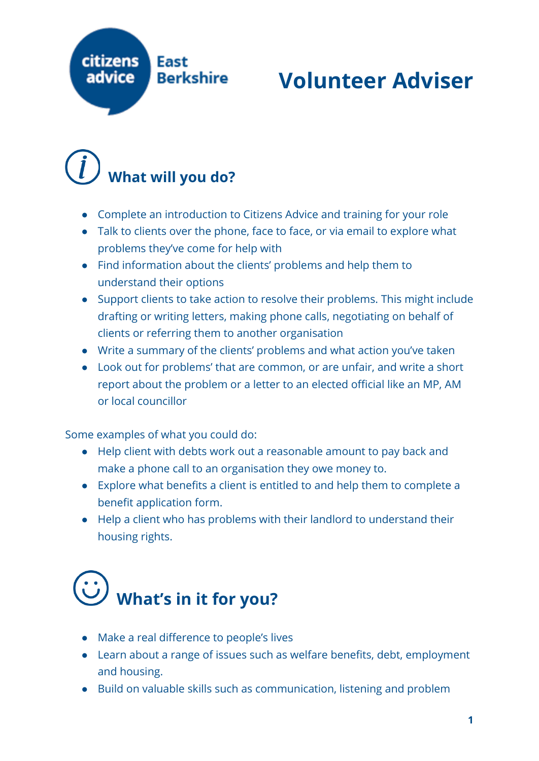

#### **Volunteer Adviser**

#### **What will you do?**

- Complete an introduction to Citizens Advice and training for your role
- Talk to clients over the phone, face to face, or via email to explore what problems they've come for help with
- Find information about the clients' problems and help them to understand their options
- Support clients to take action to resolve their problems. This might include drafting or writing letters, making phone calls, negotiating on behalf of clients or referring them to another organisation
- Write a summary of the clients' problems and what action you've taken
- Look out for problems' that are common, or are unfair, and write a short report about the problem or a letter to an elected official like an MP, AM or local councillor

Some examples of what you could do:

- Help client with debts work out a reasonable amount to pay back and make a phone call to an organisation they owe money to.
- Explore what benefits a client is entitled to and help them to complete a benefit application form.
- Help a client who has problems with their landlord to understand their housing rights.

### **What's in it for you?**

- Make a real difference to people's lives
- Learn about a range of issues such as welfare benefits, debt, employment and housing.
- Build on valuable skills such as communication, listening and problem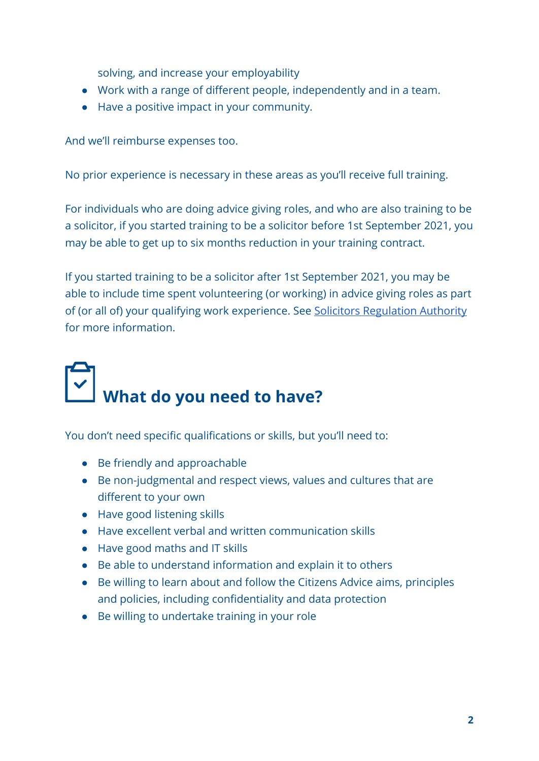solving, and increase your employability

- Work with a range of different people, independently and in a team.
- Have a positive impact in your community.

And we'll reimburse expenses too.

No prior experience is necessary in these areas as you'll receive full training.

For individuals who are doing advice giving roles, and who are also training to be a solicitor, if you started training to be a solicitor before 1st September 2021, you may be able to get up to six months reduction in your training contract.

If you started training to be a solicitor after 1st September 2021, you may be able to include time spent volunteering (or working) in advice giving roles as part of (or all of) your qualifying work experience. See [Solicitors Regulation Authority](https://www.sra.org.uk/) for more information.

# What do you need to have?

You don't need specific qualifications or skills, but you'll need to:

- Be friendly and approachable
- Be non-judgmental and respect views, values and cultures that are different to your own
- Have good listening skills
- Have excellent verbal and written communication skills
- Have good maths and IT skills
- Be able to understand information and explain it to others
- Be willing to learn about and follow the Citizens Advice aims, principles and policies, including confidentiality and data protection
- Be willing to undertake training in your role